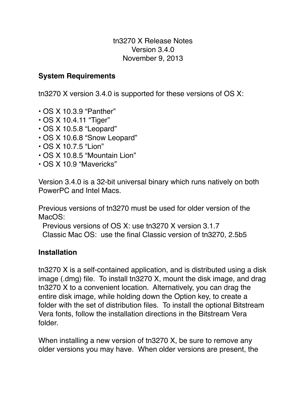tn3270 X Release Notes Version 3.4.0 November 9, 2013

### **System Requirements**

tn3270 X version 3.4.0 is supported for these versions of OS X:

- OS X 10.3.9 "Panther"
- OS X 10.4.11 "Tiger"
- OS X 10.5.8 "Leopard"
- OS X 10.6.8 "Snow Leopard"
- OS X 10.7.5 "Lion"
- OS X 10.8.5 "Mountain Lion"
- OS X 10.9 "Mavericks"

Version 3.4.0 is a 32-bit universal binary which runs natively on both PowerPC and Intel Macs.

Previous versions of tn3270 must be used for older version of the MacOS:

Previous versions of OS X: use tn3270 X version 3.1.7

Classic Mac OS: use the final Classic version of tn3270, 2.5b5

### **Installation**

tn3270 X is a self-contained application, and is distributed using a disk image (.dmg) file. To install tn3270 X, mount the disk image, and drag tn3270 X to a convenient location. Alternatively, you can drag the entire disk image, while holding down the Option key, to create a folder with the set of distribution files. To install the optional Bitstream Vera fonts, follow the installation directions in the Bitstream Vera folder.

When installing a new version of tn3270 X, be sure to remove any older versions you may have. When older versions are present, the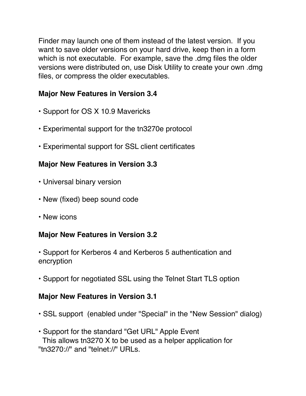Finder may launch one of them instead of the latest version. If you want to save older versions on your hard drive, keep then in a form which is not executable. For example, save the .dmg files the older versions were distributed on, use Disk Utility to create your own .dmg files, or compress the older executables.

### **Major New Features in Version 3.4**

- Support for OS X 10.9 Mavericks
- Experimental support for the tn3270e protocol
- Experimental support for SSL client certificates

## **Major New Features in Version 3.3**

- Universal binary version
- New (fixed) beep sound code
- New icons

### **Major New Features in Version 3.2**

- Support for Kerberos 4 and Kerberos 5 authentication and encryption
- Support for negotiated SSL using the Telnet Start TLS option

### **Major New Features in Version 3.1**

- SSL support (enabled under "Special" in the "New Session" dialog)
- Support for the standard "Get URL" Apple Event This allows tn3270 X to be used as a helper application for "tn3270://" and "telnet://" URLs.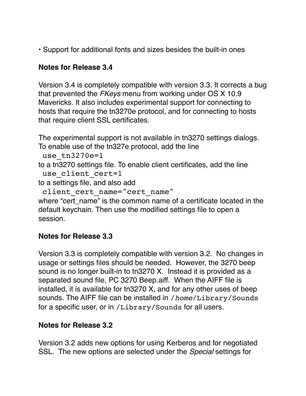• Support for additional fonts and sizes besides the built-in ones

# **Notes for Release 3.4**

Version 3.4 is completely compatible with version 3.3. It corrects a bug that prevented the *FKeys* menu from working under OS X 10.9 Mavericks. It also includes experimental support for connecting to hosts that require the tn3270e protocol, and for connecting to hosts that require client SSL certificates.

The experimental support is not available in tn3270 settings dialogs. To enable use of the tn327e protocol, add the line

```
use tn3270e=1
```
to a tn3270 settings file. To enable client certificates, add the line use client cert=1

to a settings file, and also add

```
client cert name="cert name"
```
where "cert, name" is the common name of a certificate located in the default keychain. Then use the modified settings file to open a session.

# **Notes for Release 3.3**

Version 3.3 is completely compatible with version 3.2. No changes in usage or settings files should be needed. However, the 3270 beep sound is no longer built-in to tn3270 X. Instead it is provided as a separated sound file, PC 3270 Beep.aiff. When the AIFF file is installed, it is available for tn3270 X, and for any other uses of beep sounds. The AIFF file can be installed in /*home*/Library/Sounds for a specific user, or in /Library/Sounds for all users.

### **Notes for Release 3.2**

Version 3.2 adds new options for using Kerberos and for negotiated SSL. The new options are selected under the *Special* settings for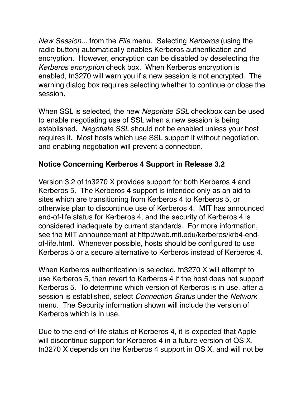*New Session...* from the *File* menu. Selecting *Kerberos* (using the radio button) automatically enables Kerberos authentication and encryption. However, encryption can be disabled by deselecting the *Kerberos encryption* check box. When Kerberos encryption is enabled, tn3270 will warn you if a new session is not encrypted. The warning dialog box requires selecting whether to continue or close the session.

When SSL is selected, the new *Negotiate SSL* checkbox can be used to enable negotiating use of SSL when a new session is being established. *Negotiate SSL* should not be enabled unless your host requires it. Most hosts which use SSL support it without negotiation, and enabling negotiation will prevent a connection.

### **Notice Concerning Kerberos 4 Support in Release 3.2**

Version 3.2 of tn3270 X provides support for both Kerberos 4 and Kerberos 5. The Kerberos 4 support is intended only as an aid to sites which are transitioning from Kerberos 4 to Kerberos 5, or otherwise plan to discontinue use of Kerberos 4. MIT has announced end-of-life status for Kerberos 4, and the security of Kerberos 4 is considered inadequate by current standards. For more information, see the MIT announcement at http://web.mit.edu/kerberos/krb4-endof-life.html. Whenever possible, hosts should be configured to use Kerberos 5 or a secure alternative to Kerberos instead of Kerberos 4.

When Kerberos authentication is selected, tn3270 X will attempt to use Kerberos 5, then revert to Kerberos 4 if the host does not support Kerberos 5. To determine which version of Kerberos is in use, after a session is established, select *Connection Status* under the *Network* menu. The Security information shown will include the version of Kerberos which is in use.

Due to the end-of-life status of Kerberos 4, it is expected that Apple will discontinue support for Kerberos 4 in a future version of OS X. tn3270 X depends on the Kerberos 4 support in OS X, and will not be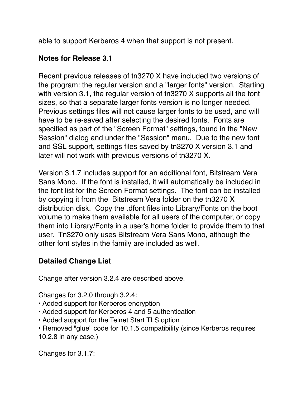able to support Kerberos 4 when that support is not present.

### **Notes for Release 3.1**

Recent previous releases of tn3270 X have included two versions of the program: the regular version and a "larger fonts" version. Starting with version 3.1, the regular version of tn3270 X supports all the font sizes, so that a separate larger fonts version is no longer needed. Previous settings files will not cause larger fonts to be used, and will have to be re-saved after selecting the desired fonts. Fonts are specified as part of the "Screen Format" settings, found in the "New Session" dialog and under the "Session" menu. Due to the new font and SSL support, settings files saved by tn3270 X version 3.1 and later will not work with previous versions of tn3270 X.

Version 3.1.7 includes support for an additional font, Bitstream Vera Sans Mono. If the font is installed, it will automatically be included in the font list for the Screen Format settings. The font can be installed by copying it from the Bitstream Vera folder on the tn3270 X distribution disk. Copy the .dfont files into Library/Fonts on the boot volume to make them available for all users of the computer, or copy them into Library/Fonts in a user's home folder to provide them to that user. Tn3270 only uses Bitstream Vera Sans Mono, although the other font styles in the family are included as well.

### **Detailed Change List**

Change after version 3.2.4 are described above.

Changes for 3.2.0 through 3.2.4:

- Added support for Kerberos encryption
- Added support for Kerberos 4 and 5 authentication
- Added support for the Telnet Start TLS option
- Removed "glue" code for 10.1.5 compatibility (since Kerberos requires 10.2.8 in any case.)

Changes for 3.1.7: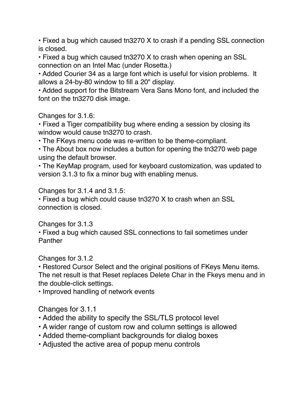• Fixed a bug which caused tn3270 X to crash if a pending SSL connection is closed.

• Fixed a bug which caused tn3270 X to crash when opening an SSL connection on an Intel Mac (under Rosetta.)

• Added Courier 34 as a large font which is useful for vision problems. It allows a 24-by-80 window to fill a 20" display.

• Added support for the Bitstream Vera Sans Mono font, and included the font on the tn3270 disk image.

Changes for 3.1.6:

• Fixed a Tiger compatibility bug where ending a session by closing its window would cause tn3270 to crash.

• The FKeys menu code was re-written to be theme-compliant.

• The About box now includes a button for opening the tn3270 web page using the default browser.

• The KeyMap program, used for keyboard customization, was updated to version 3.1.3 to fix a minor bug with enabling menus.

Changes for 3.1.4 and 3.1.5:

• Fixed a bug which could cause tn3270 X to crash when an SSL connection is closed.

Changes for 3.1.3

• Fixed a bug which caused SSL connections to fail sometimes under Panther

Changes for 3.1.2

• Restored Cursor Select and the original positions of FKeys Menu items. The net result is that Reset replaces Delete Char in the Fkeys menu and in the double-click settings.

• Improved handling of network events

Changes for 3.1.1

- Added the ability to specify the SSL/TLS protocol level
- A wider range of custom row and column settings is allowed
- Added theme-compliant backgrounds for dialog boxes
- Adjusted the active area of popup menu controls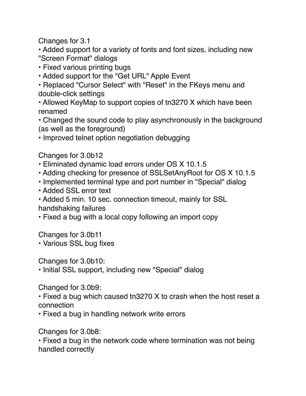Changes for 3.1

• Added support for a variety of fonts and font sizes, including new "Screen Format" dialogs

- Fixed various printing bugs
- Added support for the "Get URL" Apple Event

• Replaced "Cursor Select" with "Reset" in the FKeys menu and double-click settings

• Allowed KeyMap to support copies of tn3270 X which have been renamed

• Changed the sound code to play asynchronously in the background (as well as the foreground)

• Improved telnet option negotiation debugging

Changes for 3.0b12

- Eliminated dynamic load errors under OS X 10.1.5
- Adding checking for presence of SSLSetAnyRoot for OS X 10.1.5
- Implemented terminal type and port number in "Special" dialog
- Added SSL error text

• Added 5 min. 10 sec. connection timeout, mainly for SSL handshaking failures

• Fixed a bug with a local copy following an import copy

Changes for 3.0b11

• Various SSL bug fixes

Changes for 3.0b10:

• Initial SSL support, including new "Special" dialog

Changed for 3.0b9:

• Fixed a bug which caused tn3270 X to crash when the host reset a connection

• Fixed a bug in handling network write errors

Changes for 3.0b8:

• Fixed a bug in the network code where termination was not being handled correctly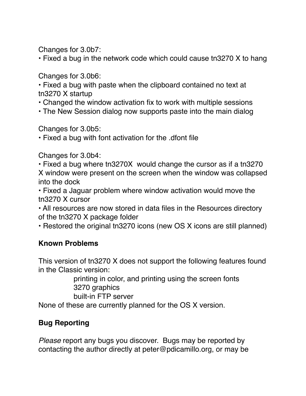Changes for 3.0b7:

• Fixed a bug in the network code which could cause tn3270 X to hang

Changes for 3.0b6:

• Fixed a bug with paste when the clipboard contained no text at tn3270 X startup

- Changed the window activation fix to work with multiple sessions
- The New Session dialog now supports paste into the main dialog

Changes for 3.0b5:

• Fixed a bug with font activation for the .dfont file

Changes for 3.0b4:

• Fixed a bug where tn3270X would change the cursor as if a tn3270 X window were present on the screen when the window was collapsed into the dock

• Fixed a Jaguar problem where window activation would move the tn3270 X cursor

• All resources are now stored in data files in the Resources directory of the tn3270 X package folder

• Restored the original tn3270 icons (new OS X icons are still planned)

### **Known Problems**

This version of tn3270 X does not support the following features found in the Classic version:

> printing in color, and printing using the screen fonts 3270 graphics

built-in FTP server

None of these are currently planned for the OS X version.

# **Bug Reporting**

*Please* report any bugs you discover. Bugs may be reported by contacting the author directly at peter@pdicamillo.org, or may be